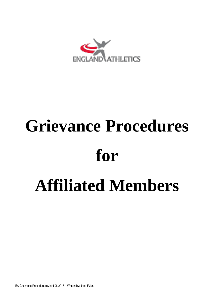

# **Grievance Procedures for Affiliated Members**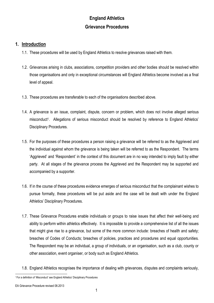# **England Athletics Grievance Procedures**

### **1. Introduction**

- 1.1. These procedures will be used by England Athletics to resolve grievances raised with them.
- 1.2. Grievances arising in clubs, associations, competition providers and other bodies should be resolved within those organisations and only in exceptional circumstances will England Athletics become involved as a final level of appeal.
- 1.3. These procedures are transferable to each of the organisations described above.
- 1.4. A grievance is an issue, complaint, dispute, concern or problem, which does not involve alleged serious misconduct<sup>1</sup>. Allegations of serious misconduct should be resolved by reference to England Athletics' Disciplinary Procedures.
- 1.5. For the purposes of these procedures a person raising a grievance will be referred to as the Aggrieved and the individual against whom the grievance is being taken will be referred to as the Respondent. The terms 'Aggrieved' and 'Respondent' in the context of this document are in no way intended to imply fault by either party. At all stages of the grievance process the Aggrieved and the Respondent may be supported and accompanied by a supporter.
- 1.6. If in the course of these procedures evidence emerges of serious misconduct that the complainant wishes to pursue formally, these procedures will be put aside and the case will be dealt with under the England Athletics' Disciplinary Procedures.
- 1.7. These Grievance Procedures enable individuals or groups to raise issues that affect their well-being and ability to perform within athletics effectively. It is impossible to provide a comprehensive list of all the issues that might give rise to a grievance, but some of the more common include: breaches of health and safety; breaches of Codes of Conducts; breaches of policies, practices and procedures and equal opportunities. The Respondent may be an individual, a group of individuals, or an organisation, such as a club, county or other association, event organiser, or body such as England Athletics.
- 1.8. England Athletics recognises the importance of dealing with grievances, disputes and complaints seriously,

EA Grievance Procedure revised 08.2013

l <sup>1</sup> For a definition of 'Misconduct' see England Athletics' Disciplinary Procedures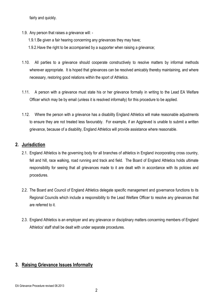fairly and quickly.

- 1.9. Any person that raises a grievance will:
	- 1.9.1.Be given a fair hearing concerning any grievances they may have;
	- 1.9.2.Have the right to be accompanied by a supporter when raising a grievance;
- 1.10. All parties to a grievance should cooperate constructively to resolve matters by informal methods wherever appropriate. It is hoped that grievances can be resolved amicably thereby maintaining, and where necessary, restoring good relations within the sport of Athletics.
- 1.11. A person with a grievance must state his or her grievance formally in writing to the Lead EA Welfare Officer which may be by email (unless it is resolved informally) for this procedure to be applied.
- 1.12. Where the person with a grievance has a disability England Athletics will make reasonable adjustments to ensure they are not treated less favourably. For example, if an Aggrieved is unable to submit a written grievance, because of a disability, England Athletics will provide assistance where reasonable.

### **2. Jurisdiction**

- 2.1. England Athletics is the governing body for all branches of athletics in England incorporating cross country, fell and hill, race walking, road running and track and field. The Board of England Athletics holds ultimate responsibility for seeing that all grievances made to it are dealt with in accordance with its policies and procedures.
- 2.2. The Board and Council of England Athletics delegate specific management and governance functions to its Regional Councils which include a responsibility to the Lead Welfare Officer to resolve any grievances that are referred to it.
- 2.3. England Athletics is an employer and any grievance or disciplinary matters concerning members of England Athletics' staff shall be dealt with under separate procedures.

### **3. Raising Grievance Issues Informally**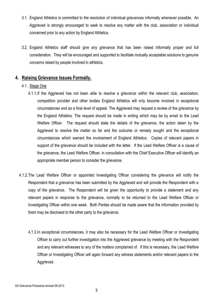- 3.1. England Athletics is committed to the resolution of individual grievances informally whenever possible. An Aggrieved is strongly encouraged to seek to resolve any matter with the club, association or individual concerned prior to any action by England Athletics.
- 3.2. England Athletics staff should give any grievance that has been raised informally proper and full consideration. They will be encouraged and supported to facilitate mutually acceptable solutions to genuine concerns raised by people involved in athletics.

### **4. Raising Grievance Issues Formally.**

### 4.1. Stage One

- 4.1.1.If the Aggrieved has not been able to resolve a grievance within the relevant club, association, competition provider and other bodies England Athletics will only become involved in exceptional circumstances and as a final level of appeal. The Aggrieved may request a review of the grievance by the England Athletics. The request should be made in writing which may be by email to the Lead Welfare Officer. The request should state the details of the grievance, the action taken by the Aggrieved to resolve the matter so far and the outcome or remedy sought and the exceptional circumstances which warrant the involvement of England Athletics. Copies of relevant papers in support of the grievance should be included with the letter. If the Lead Welfare Officer is a cause of the grievance, the Lead Welfare Officer, in consultation with the Chief Executive Officer will identify an appropriate member person to consider the grievance.
- 4.1.2.The Lead Welfare Officer or appointed Investigating Officer considering the grievance will notify the Respondent that a grievance has been submitted by the Aggrieved and will provide the Respondent with a copy of the grievance. The Respondent will be given the opportunity to provide a statement and any relevant papers in response to the grievance, normally to be returned to the Lead Welfare Officer or Investigating Officer within one week. Both Parties should be made aware that the information provided by them may be disclosed to the other party to the grievance.
	- 4.1.3.In exceptional circumstances, it may also be necessary for the Lead Welfare Officer or Investigating Officer to carry out further investigation into the Aggrieved grievance by meeting with the Respondent and any relevant witnesses to any of the matters complained of. If this is necessary, the Lead Welfare Officer or Investigating Officer will again forward any witness statements and/or relevant papers to the Aggrieved.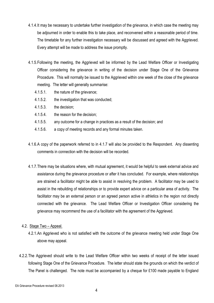- 4.1.4.It may be necessary to undertake further investigation of the grievance, in which case the meeting may be adjourned in order to enable this to take place, and reconvened within a reasonable period of time. The timetable for any further investigation necessary will be discussed and agreed with the Aggrieved. Every attempt will be made to address the issue promptly.
- 4.1.5.Following the meeting, the Aggrieved will be informed by the Lead Welfare Officer or Investigating Officer considering the grievance in writing of the decision under Stage One of the Grievance Procedure. This will normally be issued to the Aggrieved within one week of the close of the grievance meeting. The letter will generally summarise:
	- 4.1.5.1. the nature of the grievance;
	- 4.1.5.2. the investigation that was conducted;
	- 4.1.5.3. the decision;
	- 4.1.5.4. the reason for the decision;
	- 4.1.5.5. any outcome for a change in practices as a result of the decision; and
	- 4.1.5.6. a copy of meeting records and any formal minutes taken.
- 4.1.6.A copy of the paperwork referred to in 4.1.7 will also be provided to the Respondent. Any dissenting comments in connection with the decision will be recorded.
- 4.1.7.There may be situations where, with mutual agreement, it would be helpful to seek external advice and assistance during the grievance procedure or after it has concluded. For example, where relationships are strained a facilitator might be able to assist in resolving the problem. A facilitator may be used to assist in the rebuilding of relationships or to provide expert advice on a particular area of activity. The facilitator may be an external person or an agreed person active in athletics in the region not directly connected with the grievance. The Lead Welfare Officer or Investigation Officer considering the grievance may recommend the use of a facilitator with the agreement of the Aggrieved.
- 4.2. Stage Two Appeal.
	- 4.2.1.An Aggrieved who is not satisfied with the outcome of the grievance meeting held under Stage One above may appeal.
- 4.2.2.The Aggrieved should write to the Lead Welfare Officer within two weeks of receipt of the letter issued following Stage One of the Grievance Procedure. The letter should state the grounds on which the verdict of The Panel is challenged. The note must be accompanied by a cheque for £100 made payable to England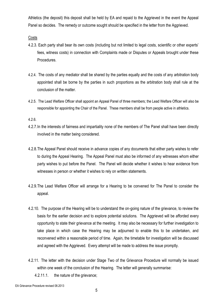Athletics (the deposit) this deposit shall be held by EA and repaid to the Aggrieved in the event the Appeal Panel so decides. The remedy or outcome sought should be specified in the letter from the Aggrieved.

**Costs** 

- 4.2.3. Each party shall bear its own costs (including but not limited to legal costs, scientific or other experts' fees, witness costs) in connection with Complaints made or Disputes or Appeals brought under these Procedures.
- 4.2.4. The costs of any mediator shall be shared by the parties equally and the costs of any arbitration body appointed shall be borne by the parties in such proportions as the arbitration body shall rule at the conclusion of the matter.
- 4.2.5. The Lead Welfare Officer shall appoint an Appeal Panel of three members; the Lead Welfare Officer will also be responsible for appointing the Chair of the Panel. These members shall be from people active in athletics.

4.2.6.

- 4.2.7.In the interests of fairness and impartiality none of the members of The Panel shall have been directly involved in the matter being considered.
- 4.2.8.The Appeal Panel should receive in advance copies of any documents that either party wishes to refer to during the Appeal Hearing. The Appeal Panel must also be informed of any witnesses whom either party wishes to put before the Panel. The Panel will decide whether it wishes to hear evidence from witnesses in person or whether it wishes to rely on written statements.
- 4.2.9.The Lead Welfare Officer will arrange for a Hearing to be convened for The Panel to consider the appeal.
- 4.2.10. The purpose of the Hearing will be to understand the on-going nature of the grievance, to review the basis for the earlier decision and to explore potential solutions. The Aggrieved will be afforded every opportunity to state their grievance at the meeting. It may also be necessary for further investigation to take place in which case the Hearing may be adjourned to enable this to be undertaken, and reconvened within a reasonable period of time. Again, the timetable for investigation will be discussed and agreed with the Aggrieved. Every attempt will be made to address the issue promptly.
- 4.2.11. The letter with the decision under Stage Two of the Grievance Procedure will normally be issued within one week of the conclusion of the Hearing. The letter will generally summarise:
	- 4.2.11.1. the nature of the grievance;